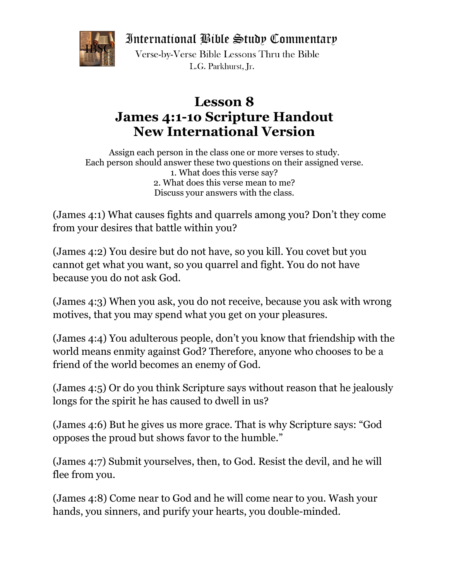International Bible Study Commentary



Verse-by-Verse Bible Lessons Thru the Bible L.G. Parkhurst. Ir.

## **Lesson 8 James 4:1-1o Scripture Handout New International Version**

Assign each person in the class one or more verses to study. Each person should answer these two questions on their assigned verse. 1. What does this verse say? 2. What does this verse mean to me? Discuss your answers with the class.

(James 4:1) What causes fights and quarrels among you? Don't they come from your desires that battle within you?

(James 4:2) You desire but do not have, so you kill. You covet but you cannot get what you want, so you quarrel and fight. You do not have because you do not ask God.

(James 4:3) When you ask, you do not receive, because you ask with wrong motives, that you may spend what you get on your pleasures.

(James 4:4) You adulterous people, don't you know that friendship with the world means enmity against God? Therefore, anyone who chooses to be a friend of the world becomes an enemy of God.

(James 4:5) Or do you think Scripture says without reason that he jealously longs for the spirit he has caused to dwell in us?

(James 4:6) But he gives us more grace. That is why Scripture says: "God opposes the proud but shows favor to the humble."

(James 4:7) Submit yourselves, then, to God. Resist the devil, and he will flee from you.

(James 4:8) Come near to God and he will come near to you. Wash your hands, you sinners, and purify your hearts, you double-minded.